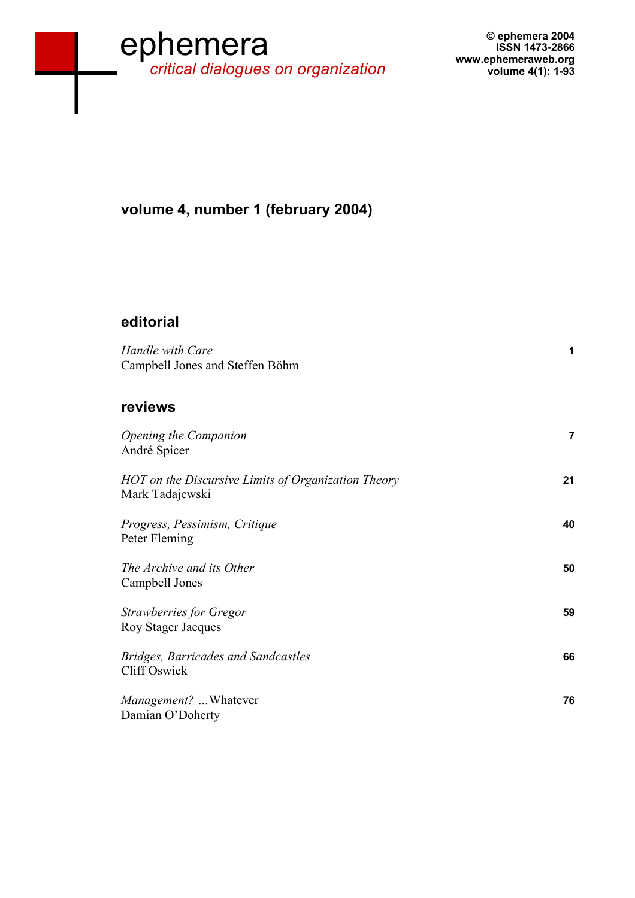# ephemera 2004<br> **ephemera 2004**<br>
Ephemeraweb.org www.ephemeraweb.org *critical dialogues on organization*

## **volume 4, number 1 (february 2004)**

#### **editorial**

| Handle with Care<br>Campbell Jones and Steffen Böhm                    | 1              |
|------------------------------------------------------------------------|----------------|
| reviews                                                                |                |
| Opening the Companion<br>André Spicer                                  | $\overline{7}$ |
| HOT on the Discursive Limits of Organization Theory<br>Mark Tadajewski | 21             |
| Progress, Pessimism, Critique<br>Peter Fleming                         | 40             |
| The Archive and its Other<br>Campbell Jones                            | 50             |
| <b>Strawberries for Gregor</b><br>Roy Stager Jacques                   | 59             |
| <b>Bridges, Barricades and Sandcastles</b><br>Cliff Oswick             | 66             |
| Management?  Whatever<br>Damian O'Doherty                              | 76             |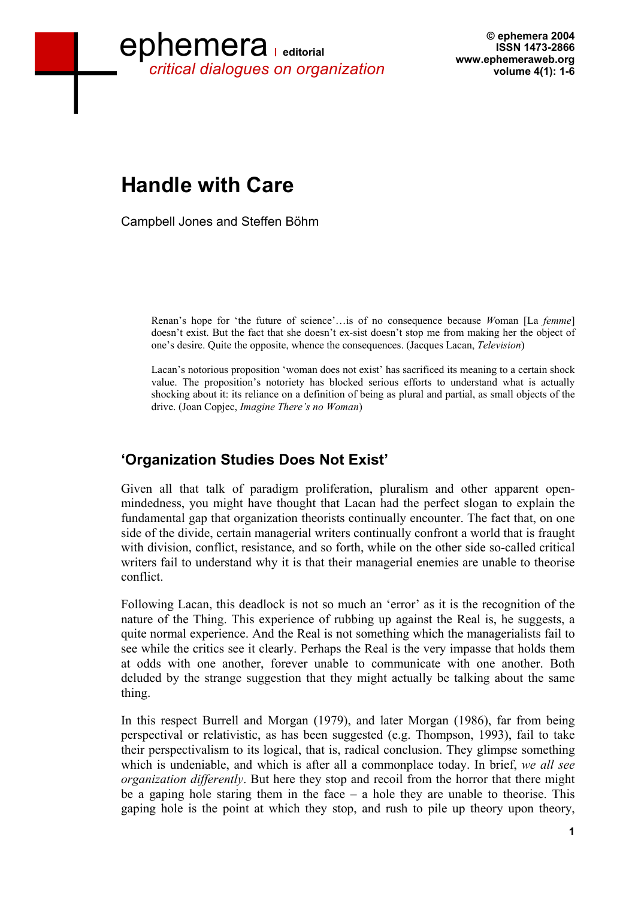# ephemera *critical dialogues on organization*

**© ephemera 2004 ISSN 1473-2866 www.ephemeraweb.org volume 4(1): 1-6** 

# **Handle with Care**

Campbell Jones and Steffen Böhm

Renan's hope for 'the future of science'…is of no consequence because *W*oman [La *femme*] doesn't exist. But the fact that she doesn't ex-sist doesn't stop me from making her the object of one's desire. Quite the opposite, whence the consequences. (Jacques Lacan, *Television*)

Lacan's notorious proposition 'woman does not exist' has sacrificed its meaning to a certain shock value. The proposition's notoriety has blocked serious efforts to understand what is actually shocking about it: its reliance on a definition of being as plural and partial, as small objects of the drive. (Joan Copjec, *Imagine There's no Woman*)

### **'Organization Studies Does Not Exist'**

Given all that talk of paradigm proliferation, pluralism and other apparent openmindedness, you might have thought that Lacan had the perfect slogan to explain the fundamental gap that organization theorists continually encounter. The fact that, on one side of the divide, certain managerial writers continually confront a world that is fraught with division, conflict, resistance, and so forth, while on the other side so-called critical writers fail to understand why it is that their managerial enemies are unable to theorise conflict.

Following Lacan, this deadlock is not so much an 'error' as it is the recognition of the nature of the Thing. This experience of rubbing up against the Real is, he suggests, a quite normal experience. And the Real is not something which the managerialists fail to see while the critics see it clearly. Perhaps the Real is the very impasse that holds them at odds with one another, forever unable to communicate with one another. Both deluded by the strange suggestion that they might actually be talking about the same thing.

In this respect Burrell and Morgan (1979), and later Morgan (1986), far from being perspectival or relativistic, as has been suggested (e.g. Thompson, 1993), fail to take their perspectivalism to its logical, that is, radical conclusion. They glimpse something which is undeniable, and which is after all a commonplace today. In brief, *we all see organization differently*. But here they stop and recoil from the horror that there might be a gaping hole staring them in the face – a hole they are unable to theorise. This gaping hole is the point at which they stop, and rush to pile up theory upon theory,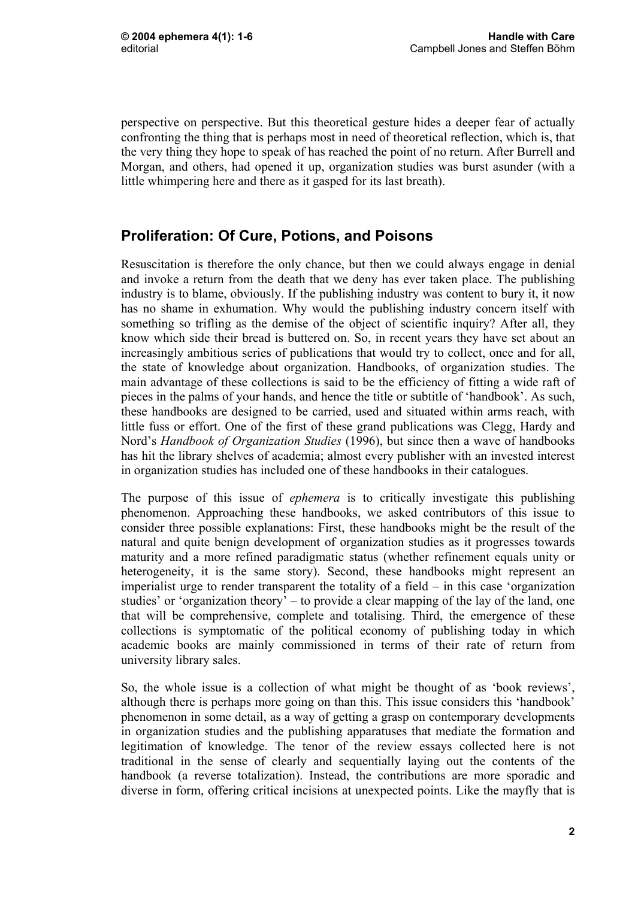perspective on perspective. But this theoretical gesture hides a deeper fear of actually confronting the thing that is perhaps most in need of theoretical reflection, which is, that the very thing they hope to speak of has reached the point of no return. After Burrell and Morgan, and others, had opened it up, organization studies was burst asunder (with a little whimpering here and there as it gasped for its last breath).

#### **Proliferation: Of Cure, Potions, and Poisons**

Resuscitation is therefore the only chance, but then we could always engage in denial and invoke a return from the death that we deny has ever taken place. The publishing industry is to blame, obviously. If the publishing industry was content to bury it, it now has no shame in exhumation. Why would the publishing industry concern itself with something so trifling as the demise of the object of scientific inquiry? After all, they know which side their bread is buttered on. So, in recent years they have set about an increasingly ambitious series of publications that would try to collect, once and for all, the state of knowledge about organization. Handbooks, of organization studies. The main advantage of these collections is said to be the efficiency of fitting a wide raft of pieces in the palms of your hands, and hence the title or subtitle of 'handbook'. As such, these handbooks are designed to be carried, used and situated within arms reach, with little fuss or effort. One of the first of these grand publications was Clegg, Hardy and Nord's *Handbook of Organization Studies* (1996), but since then a wave of handbooks has hit the library shelves of academia; almost every publisher with an invested interest in organization studies has included one of these handbooks in their catalogues.

The purpose of this issue of *ephemera* is to critically investigate this publishing phenomenon. Approaching these handbooks, we asked contributors of this issue to consider three possible explanations: First, these handbooks might be the result of the natural and quite benign development of organization studies as it progresses towards maturity and a more refined paradigmatic status (whether refinement equals unity or heterogeneity, it is the same story). Second, these handbooks might represent an imperialist urge to render transparent the totality of a field – in this case 'organization studies' or 'organization theory' – to provide a clear mapping of the lay of the land, one that will be comprehensive, complete and totalising. Third, the emergence of these collections is symptomatic of the political economy of publishing today in which academic books are mainly commissioned in terms of their rate of return from university library sales.

So, the whole issue is a collection of what might be thought of as 'book reviews', although there is perhaps more going on than this. This issue considers this 'handbook' phenomenon in some detail, as a way of getting a grasp on contemporary developments in organization studies and the publishing apparatuses that mediate the formation and legitimation of knowledge. The tenor of the review essays collected here is not traditional in the sense of clearly and sequentially laying out the contents of the handbook (a reverse totalization). Instead, the contributions are more sporadic and diverse in form, offering critical incisions at unexpected points. Like the mayfly that is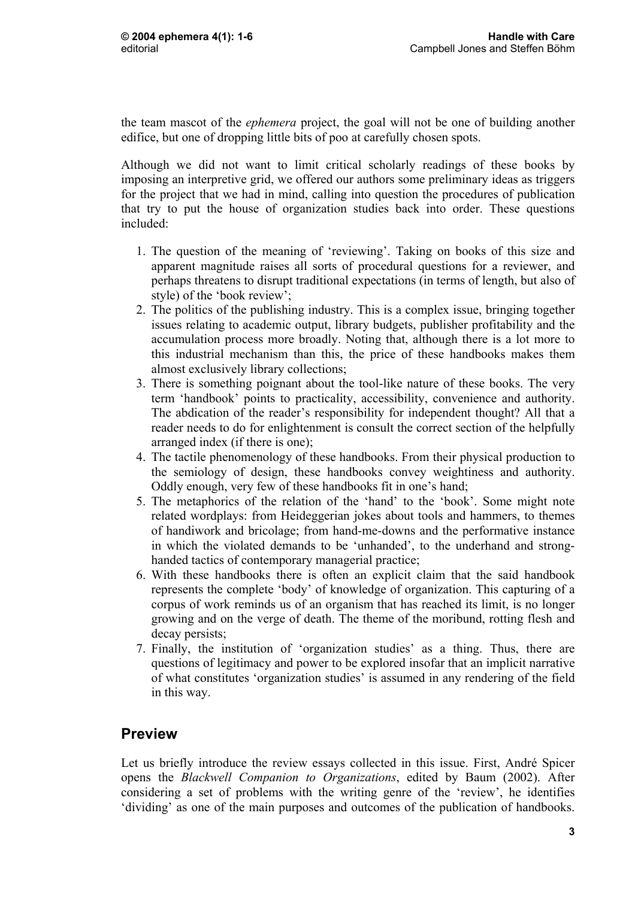the team mascot of the *ephemera* project, the goal will not be one of building another edifice, but one of dropping little bits of poo at carefully chosen spots.

Although we did not want to limit critical scholarly readings of these books by imposing an interpretive grid, we offered our authors some preliminary ideas as triggers for the project that we had in mind, calling into question the procedures of publication that try to put the house of organization studies back into order. These questions included:

- 1. The question of the meaning of 'reviewing'. Taking on books of this size and apparent magnitude raises all sorts of procedural questions for a reviewer, and perhaps threatens to disrupt traditional expectations (in terms of length, but also of style) of the 'book review';
- 2. The politics of the publishing industry. This is a complex issue, bringing together issues relating to academic output, library budgets, publisher profitability and the accumulation process more broadly. Noting that, although there is a lot more to this industrial mechanism than this, the price of these handbooks makes them almost exclusively library collections;
- 3. There is something poignant about the tool-like nature of these books. The very term 'handbook' points to practicality, accessibility, convenience and authority. The abdication of the reader's responsibility for independent thought? All that a reader needs to do for enlightenment is consult the correct section of the helpfully arranged index (if there is one);
- 4. The tactile phenomenology of these handbooks. From their physical production to the semiology of design, these handbooks convey weightiness and authority. Oddly enough, very few of these handbooks fit in one's hand;
- 5. The metaphorics of the relation of the 'hand' to the 'book'. Some might note related wordplays: from Heideggerian jokes about tools and hammers, to themes of handiwork and bricolage; from hand-me-downs and the performative instance in which the violated demands to be 'unhanded', to the underhand and stronghanded tactics of contemporary managerial practice;
- 6. With these handbooks there is often an explicit claim that the said handbook represents the complete 'body' of knowledge of organization. This capturing of a corpus of work reminds us of an organism that has reached its limit, is no longer growing and on the verge of death. The theme of the moribund, rotting flesh and decay persists;
- 7. Finally, the institution of 'organization studies' as a thing. Thus, there are questions of legitimacy and power to be explored insofar that an implicit narrative of what constitutes 'organization studies' is assumed in any rendering of the field in this way.

### **Preview**

Let us briefly introduce the review essays collected in this issue. First, André Spicer opens the *Blackwell Companion to Organizations*, edited by Baum (2002). After considering a set of problems with the writing genre of the 'review', he identifies 'dividing' as one of the main purposes and outcomes of the publication of handbooks.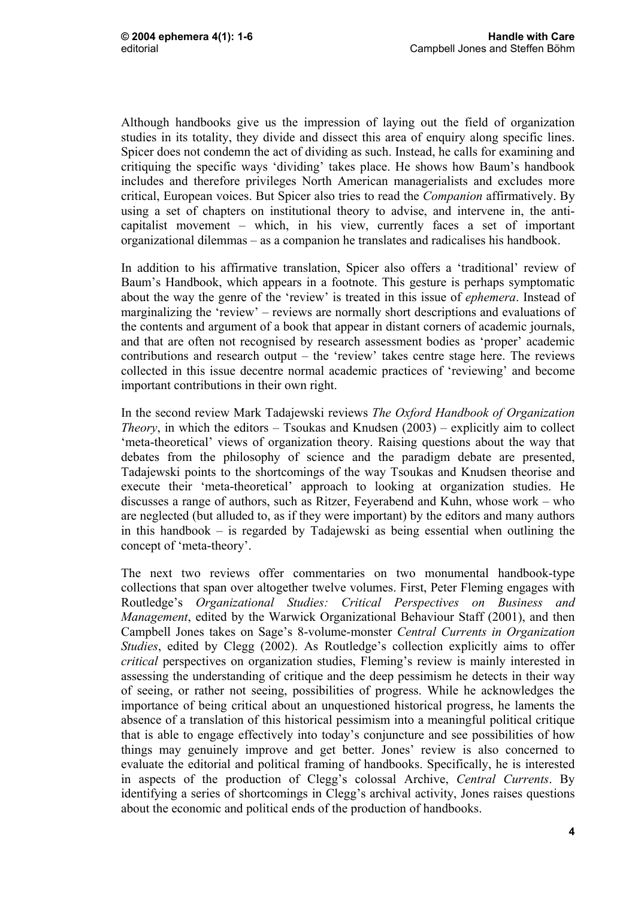Although handbooks give us the impression of laying out the field of organization studies in its totality, they divide and dissect this area of enquiry along specific lines. Spicer does not condemn the act of dividing as such. Instead, he calls for examining and critiquing the specific ways 'dividing' takes place. He shows how Baum's handbook includes and therefore privileges North American managerialists and excludes more critical, European voices. But Spicer also tries to read the *Companion* affirmatively. By using a set of chapters on institutional theory to advise, and intervene in, the anticapitalist movement – which, in his view, currently faces a set of important organizational dilemmas – as a companion he translates and radicalises his handbook.

In addition to his affirmative translation, Spicer also offers a 'traditional' review of Baum's Handbook, which appears in a footnote. This gesture is perhaps symptomatic about the way the genre of the 'review' is treated in this issue of *ephemera*. Instead of marginalizing the 'review' – reviews are normally short descriptions and evaluations of the contents and argument of a book that appear in distant corners of academic journals, and that are often not recognised by research assessment bodies as 'proper' academic contributions and research output – the 'review' takes centre stage here. The reviews collected in this issue decentre normal academic practices of 'reviewing' and become important contributions in their own right.

In the second review Mark Tadajewski reviews *The Oxford Handbook of Organization Theory*, in which the editors – Tsoukas and Knudsen (2003) – explicitly aim to collect 'meta-theoretical' views of organization theory. Raising questions about the way that debates from the philosophy of science and the paradigm debate are presented, Tadajewski points to the shortcomings of the way Tsoukas and Knudsen theorise and execute their 'meta-theoretical' approach to looking at organization studies. He discusses a range of authors, such as Ritzer, Feyerabend and Kuhn, whose work – who are neglected (but alluded to, as if they were important) by the editors and many authors in this handbook – is regarded by Tadajewski as being essential when outlining the concept of 'meta-theory'.

The next two reviews offer commentaries on two monumental handbook-type collections that span over altogether twelve volumes. First, Peter Fleming engages with Routledge's *Organizational Studies: Critical Perspectives on Business and Management*, edited by the Warwick Organizational Behaviour Staff (2001), and then Campbell Jones takes on Sage's 8-volume-monster *Central Currents in Organization Studies*, edited by Clegg (2002). As Routledge's collection explicitly aims to offer *critical* perspectives on organization studies, Fleming's review is mainly interested in assessing the understanding of critique and the deep pessimism he detects in their way of seeing, or rather not seeing, possibilities of progress. While he acknowledges the importance of being critical about an unquestioned historical progress, he laments the absence of a translation of this historical pessimism into a meaningful political critique that is able to engage effectively into today's conjuncture and see possibilities of how things may genuinely improve and get better. Jones' review is also concerned to evaluate the editorial and political framing of handbooks. Specifically, he is interested in aspects of the production of Clegg's colossal Archive, *Central Currents*. By identifying a series of shortcomings in Clegg's archival activity, Jones raises questions about the economic and political ends of the production of handbooks.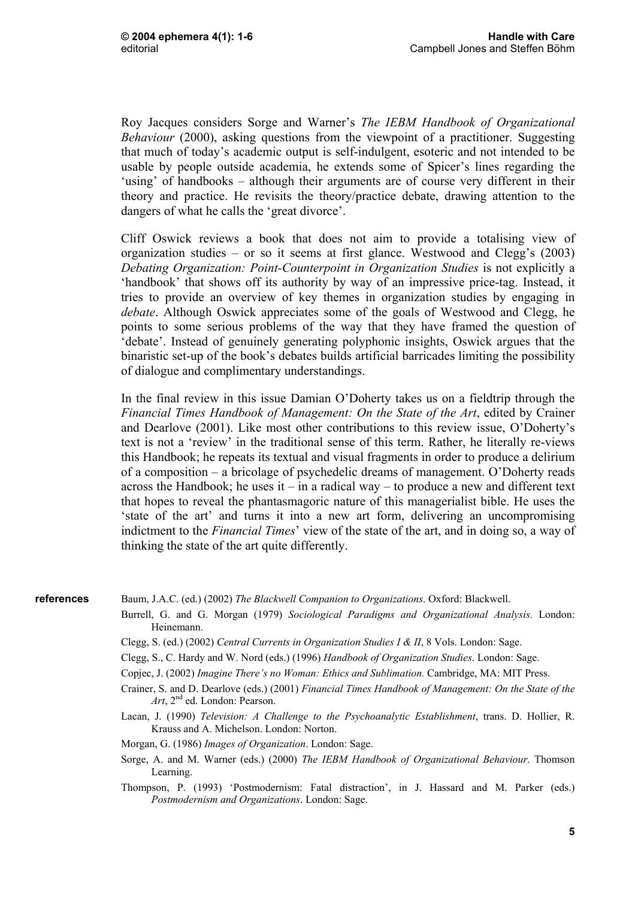Roy Jacques considers Sorge and Warner's *The IEBM Handbook of Organizational Behaviour* (2000), asking questions from the viewpoint of a practitioner. Suggesting that much of today's academic output is self-indulgent, esoteric and not intended to be usable by people outside academia, he extends some of Spicer's lines regarding the 'using' of handbooks – although their arguments are of course very different in their theory and practice. He revisits the theory/practice debate, drawing attention to the dangers of what he calls the 'great divorce'.

Cliff Oswick reviews a book that does not aim to provide a totalising view of organization studies – or so it seems at first glance. Westwood and Clegg's (2003) *Debating Organization: Point-Counterpoint in Organization Studies* is not explicitly a 'handbook' that shows off its authority by way of an impressive price-tag. Instead, it tries to provide an overview of key themes in organization studies by engaging in *debate*. Although Oswick appreciates some of the goals of Westwood and Clegg, he points to some serious problems of the way that they have framed the question of 'debate'. Instead of genuinely generating polyphonic insights, Oswick argues that the binaristic set-up of the book's debates builds artificial barricades limiting the possibility of dialogue and complimentary understandings.

In the final review in this issue Damian O'Doherty takes us on a fieldtrip through the *Financial Times Handbook of Management: On the State of the Art*, edited by Crainer and Dearlove (2001). Like most other contributions to this review issue, O'Doherty's text is not a 'review' in the traditional sense of this term. Rather, he literally re-views this Handbook; he repeats its textual and visual fragments in order to produce a delirium of a composition – a bricolage of psychedelic dreams of management. O'Doherty reads across the Handbook; he uses it – in a radical way – to produce a new and different text that hopes to reveal the phantasmagoric nature of this managerialist bible. He uses the 'state of the art' and turns it into a new art form, delivering an uncompromising indictment to the *Financial Times*' view of the state of the art, and in doing so, a way of thinking the state of the art quite differently.

#### **references**

Baum, J.A.C. (ed.) (2002) *The Blackwell Companion to Organizations*. Oxford: Blackwell.

- Burrell, G. and G. Morgan (1979) *Sociological Paradigms and Organizational Analysis.* London: Heinemann.
- Clegg, S. (ed.) (2002) *Central Currents in Organization Studies I & II*, 8 Vols. London: Sage.
- Clegg, S., C. Hardy and W. Nord (eds.) (1996) *Handbook of Organization Studies*. London: Sage.
- Copjec, J. (2002) *Imagine There's no Woman: Ethics and Sublimation.* Cambridge, MA: MIT Press.
- Crainer, S. and D. Dearlove (eds.) (2001) *Financial Times Handbook of Management: On the State of the Art*, 2nd ed. London: Pearson.
- Lacan, J. (1990) *Television: A Challenge to the Psychoanalytic Establishment*, trans. D. Hollier, R. Krauss and A. Michelson. London: Norton.
- Morgan, G. (1986) *Images of Organization*. London: Sage.
- Sorge, A. and M. Warner (eds.) (2000) *The IEBM Handbook of Organizational Behaviour*. Thomson Learning.
- Thompson, P. (1993) 'Postmodernism: Fatal distraction', in J. Hassard and M. Parker (eds.) *Postmodernism and Organizations*. London: Sage.